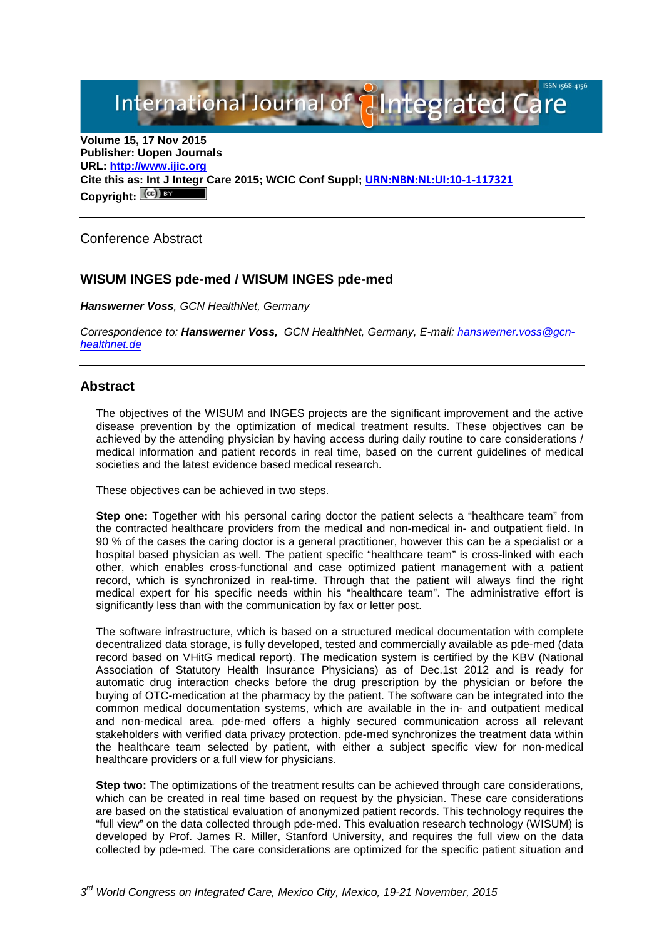International Journal of **Plategrated Care** 

**Volume 15, 17 Nov 2015 Publisher: Uopen Journals URL: [http://www.ijic.org](http://www.ijic.org/) Cite this as: Int J Integr Care 2015; WCIC Conf Suppl; [URN:NBN:NL:UI:10-1-117321](http://persistent-identifier.nl/?identifier=URN:NBN:NL:UI:10-1-117321)** Copyright:  $(cc)$ 

Conference Abstract

# **WISUM INGES pde-med / WISUM INGES pde-med**

*Hanswerner Voss, GCN HealthNet, Germany*

*Correspondence to: Hanswerner Voss, GCN HealthNet, Germany, E-mail: [hanswerner.voss@gcn](mailto:hanswerner.voss@gcn-healthnet.de)[healthnet.de](mailto:hanswerner.voss@gcn-healthnet.de)*

## **Abstract**

The objectives of the WISUM and INGES projects are the significant improvement and the active disease prevention by the optimization of medical treatment results. These objectives can be achieved by the attending physician by having access during daily routine to care considerations / medical information and patient records in real time, based on the current guidelines of medical societies and the latest evidence based medical research.

These objectives can be achieved in two steps.

**Step one:** Together with his personal caring doctor the patient selects a "healthcare team" from the contracted healthcare providers from the medical and non-medical in- and outpatient field. In 90 % of the cases the caring doctor is a general practitioner, however this can be a specialist or a hospital based physician as well. The patient specific "healthcare team" is cross-linked with each other, which enables cross-functional and case optimized patient management with a patient record, which is synchronized in real-time. Through that the patient will always find the right medical expert for his specific needs within his "healthcare team". The administrative effort is significantly less than with the communication by fax or letter post.

The software infrastructure, which is based on a structured medical documentation with complete decentralized data storage, is fully developed, tested and commercially available as pde-med (data record based on VHitG medical report). The medication system is certified by the KBV (National Association of Statutory Health Insurance Physicians) as of Dec.1st 2012 and is ready for automatic drug interaction checks before the drug prescription by the physician or before the buying of OTC-medication at the pharmacy by the patient. The software can be integrated into the common medical documentation systems, which are available in the in- and outpatient medical and non-medical area. pde-med offers a highly secured communication across all relevant stakeholders with verified data privacy protection. pde-med synchronizes the treatment data within the healthcare team selected by patient, with either a subject specific view for non-medical healthcare providers or a full view for physicians.

**Step two:** The optimizations of the treatment results can be achieved through care considerations, which can be created in real time based on request by the physician. These care considerations are based on the statistical evaluation of anonymized patient records. This technology requires the "full view" on the data collected through pde-med. This evaluation research technology (WISUM) is developed by Prof. James R. Miller, Stanford University, and requires the full view on the data collected by pde-med. The care considerations are optimized for the specific patient situation and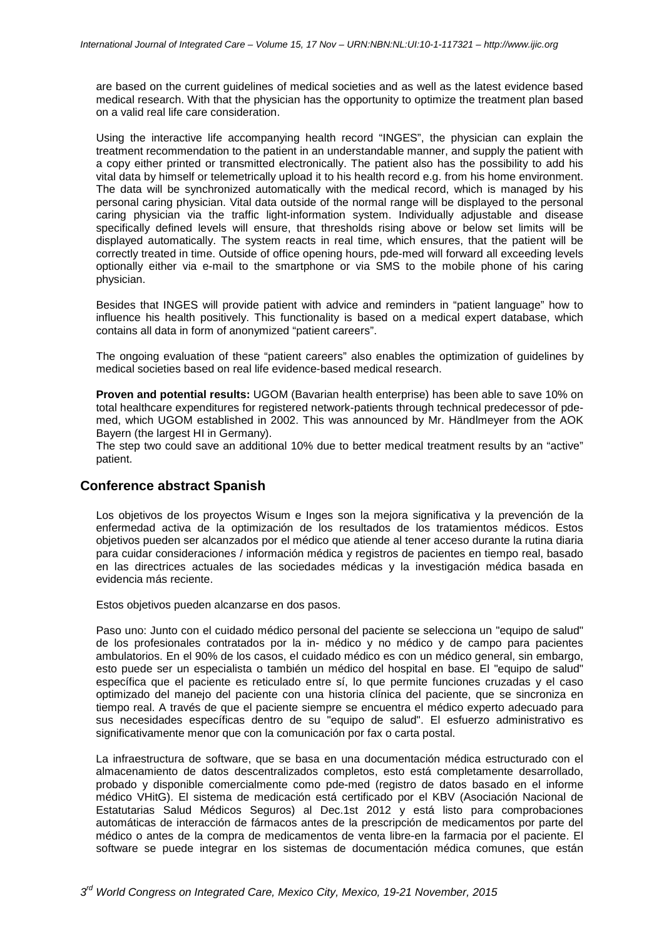are based on the current guidelines of medical societies and as well as the latest evidence based medical research. With that the physician has the opportunity to optimize the treatment plan based on a valid real life care consideration.

Using the interactive life accompanying health record "INGES", the physician can explain the treatment recommendation to the patient in an understandable manner, and supply the patient with a copy either printed or transmitted electronically. The patient also has the possibility to add his vital data by himself or telemetrically upload it to his health record e.g. from his home environment. The data will be synchronized automatically with the medical record, which is managed by his personal caring physician. Vital data outside of the normal range will be displayed to the personal caring physician via the traffic light-information system. Individually adjustable and disease specifically defined levels will ensure, that thresholds rising above or below set limits will be displayed automatically. The system reacts in real time, which ensures, that the patient will be correctly treated in time. Outside of office opening hours, pde-med will forward all exceeding levels optionally either via e-mail to the smartphone or via SMS to the mobile phone of his caring physician.

Besides that INGES will provide patient with advice and reminders in "patient language" how to influence his health positively. This functionality is based on a medical expert database, which contains all data in form of anonymized "patient careers".

The ongoing evaluation of these "patient careers" also enables the optimization of guidelines by medical societies based on real life evidence-based medical research.

**Proven and potential results:** UGOM (Bavarian health enterprise) has been able to save 10% on total healthcare expenditures for registered network-patients through technical predecessor of pdemed, which UGOM established in 2002. This was announced by Mr. Händlmeyer from the AOK Bayern (the largest HI in Germany).

The step two could save an additional 10% due to better medical treatment results by an "active" patient.

### **Conference abstract Spanish**

Los objetivos de los proyectos Wisum e Inges son la mejora significativa y la prevención de la enfermedad activa de la optimización de los resultados de los tratamientos médicos. Estos objetivos pueden ser alcanzados por el médico que atiende al tener acceso durante la rutina diaria para cuidar consideraciones / información médica y registros de pacientes en tiempo real, basado en las directrices actuales de las sociedades médicas y la investigación médica basada en evidencia más reciente.

Estos objetivos pueden alcanzarse en dos pasos.

Paso uno: Junto con el cuidado médico personal del paciente se selecciona un "equipo de salud" de los profesionales contratados por la in- médico y no médico y de campo para pacientes ambulatorios. En el 90% de los casos, el cuidado médico es con un médico general, sin embargo, esto puede ser un especialista o también un médico del hospital en base. El "equipo de salud" específica que el paciente es reticulado entre sí, lo que permite funciones cruzadas y el caso optimizado del manejo del paciente con una historia clínica del paciente, que se sincroniza en tiempo real. A través de que el paciente siempre se encuentra el médico experto adecuado para sus necesidades específicas dentro de su "equipo de salud". El esfuerzo administrativo es significativamente menor que con la comunicación por fax o carta postal.

La infraestructura de software, que se basa en una documentación médica estructurado con el almacenamiento de datos descentralizados completos, esto está completamente desarrollado, probado y disponible comercialmente como pde-med (registro de datos basado en el informe médico VHitG). El sistema de medicación está certificado por el KBV (Asociación Nacional de Estatutarias Salud Médicos Seguros) al Dec.1st 2012 y está listo para comprobaciones automáticas de interacción de fármacos antes de la prescripción de medicamentos por parte del médico o antes de la compra de medicamentos de venta libre-en la farmacia por el paciente. El software se puede integrar en los sistemas de documentación médica comunes, que están